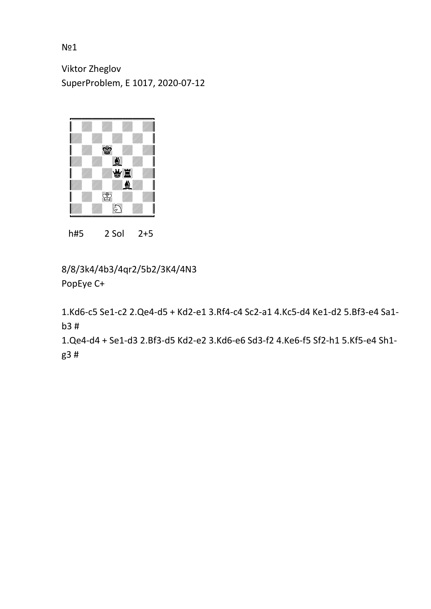Viktor Zheglov SuperProblem, E 1017, 2020-07-12



h#5 2 Sol 2+5

8/8/3k4/4b3/4qr2/5b2/3K4/4N3 PopEye C+

1.Kd6-c5 Se1-c2 2.Qe4-d5 + Kd2-e1 3.Rf4-c4 Sc2-a1 4.Kc5-d4 Ke1-d2 5.Bf3-e4 Sa1 b3 #

1.Qe4-d4 + Se1-d3 2.Bf3-d5 Kd2-e2 3.Kd6-e6 Sd3-f2 4.Ke6-f5 Sf2-h1 5.Kf5-e4 Sh1 g3 #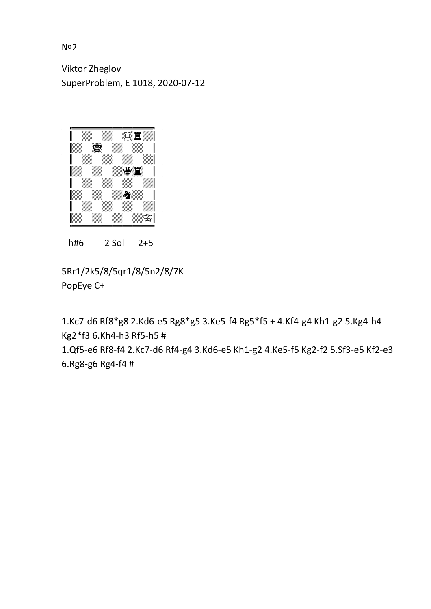Viktor Zheglov SuperProblem, E 1018, 2020-07-12



h#6 2 Sol 2+5

5Rr1/2k5/8/5qr1/8/5n2/8/7K PopEye C+

1.Kc7-d6 Rf8\*g8 2.Kd6-e5 Rg8\*g5 3.Ke5-f4 Rg5\*f5 + 4.Kf4-g4 Kh1-g2 5.Kg4-h4 Kg2\*f3 6.Kh4-h3 Rf5-h5 #

1.Qf5-e6 Rf8-f4 2.Kc7-d6 Rf4-g4 3.Kd6-e5 Kh1-g2 4.Ke5-f5 Kg2-f2 5.Sf3-e5 Kf2-e3 6.Rg8-g6 Rg4-f4 #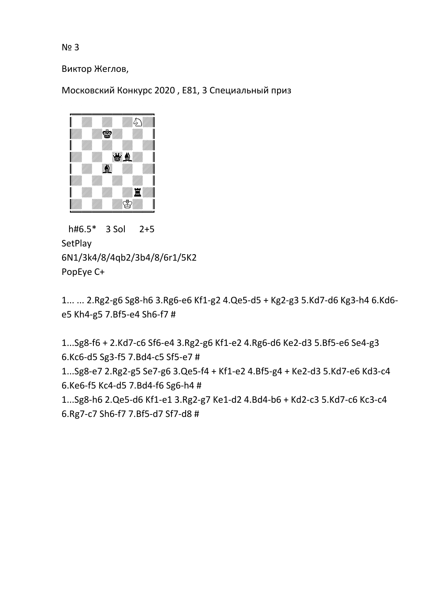Виктор Жеглов,

Московский Конкурс 2020 , E81, 3 Cпециальный приз



 h#6.5\* 3 Sol 2+5 SetPlay 6N1/3k4/8/4qb2/3b4/8/6r1/5K2 PopEye C+

1... ... 2.Rg2-g6 Sg8-h6 3.Rg6-e6 Kf1-g2 4.Qe5-d5 + Kg2-g3 5.Kd7-d6 Kg3-h4 6.Kd6 e5 Kh4-g5 7.Bf5-e4 Sh6-f7 #

1...Sg8-f6 + 2.Kd7-c6 Sf6-e4 3.Rg2-g6 Kf1-e2 4.Rg6-d6 Ke2-d3 5.Bf5-e6 Se4-g3 6.Kc6-d5 Sg3-f5 7.Bd4-c5 Sf5-e7 #

1...Sg8-e7 2.Rg2-g5 Se7-g6 3.Qe5-f4 + Kf1-e2 4.Bf5-g4 + Ke2-d3 5.Kd7-e6 Kd3-c4 6.Ke6-f5 Kc4-d5 7.Bd4-f6 Sg6-h4 #

1...Sg8-h6 2.Qe5-d6 Kf1-e1 3.Rg2-g7 Ke1-d2 4.Bd4-b6 + Kd2-c3 5.Kd7-c6 Kc3-c4 6.Rg7-c7 Sh6-f7 7.Bf5-d7 Sf7-d8 #